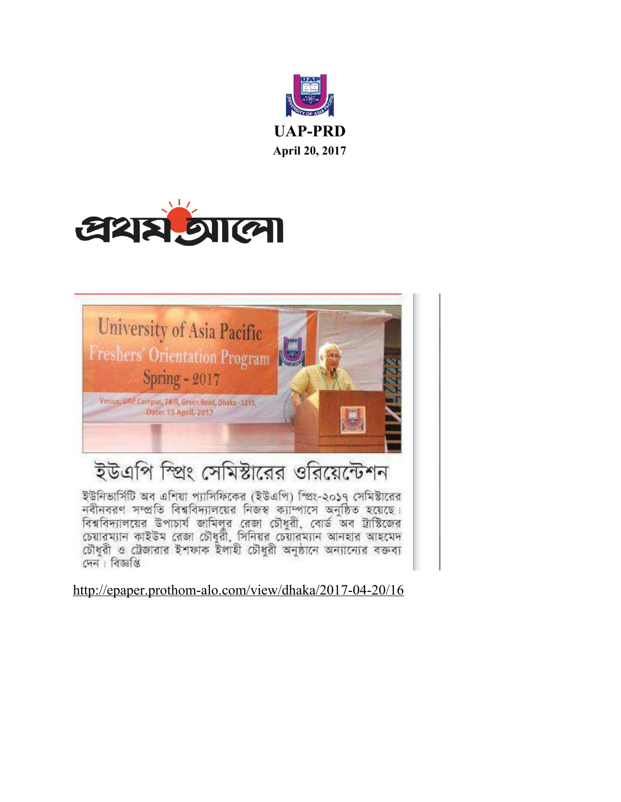





## ইউএপি স্প্রিং সেমিস্টারের ওরিয়েন্টেশন

ইউনিভার্সিটি অব এশিয়া প্যাসিফিকের (ইউএপি) স্প্রিং-২০১৭ সেমিস্টারের<br>নবীনবরণ সম্প্রতি বিশ্ববিদ্যালয়ের নিজস্ব ক্যাম্পাসে অনুষ্ঠিত হয়েছে। সময়কর। সাহাত বিবাসসাময়ের মতাব ২০) মনে অনুভিত হয়েছে।<br>বিশ্ববিদ্যালয়ের উপাচার্য জামিলুর রেজা চৌধুরী, বোর্ড অব ট্রাস্টিজের চৌধুরী ও ট্রেজারার ইশফাক ইলাহী চৌধুরী অনুষ্ঠানে অন্যান্যের বক্তব্য দেন। বিজ্ঞপ্তি

<http://epaper.prothom-alo.com/view/dhaka/2017-04-20/16>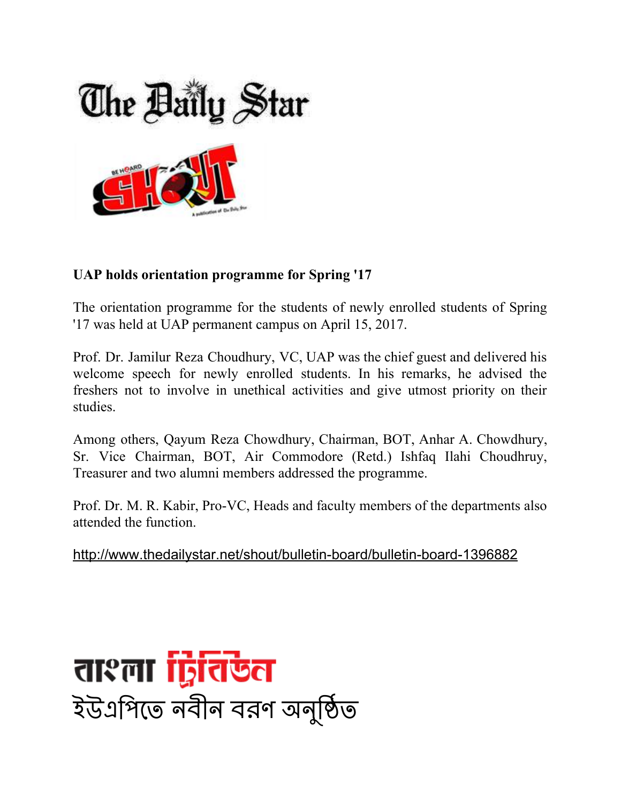

## **UAP holds orientation programme for Spring '17**

The orientation programme for the students of newly enrolled students of Spring '17 was held at UAP permanent campus on April 15, 2017.

Prof. Dr. Jamilur Reza Choudhury, VC, UAP was the chief guest and delivered his welcome speech for newly enrolled students. In his remarks, he advised the freshers not to involve in unethical activities and give utmost priority on their studies.

Among others, Qayum Reza Chowdhury, Chairman, BOT, Anhar A. Chowdhury, Sr. Vice Chairman, BOT, Air Commodore (Retd.) Ishfaq Ilahi Choudhruy, Treasurer and two alumni members addressed the programme.

Prof. Dr. M. R. Kabir, Pro-VC, Heads and faculty members of the departments also attended the function.

<http://www.thedailystar.net/shout/bulletin-board/bulletin-board-1396882>

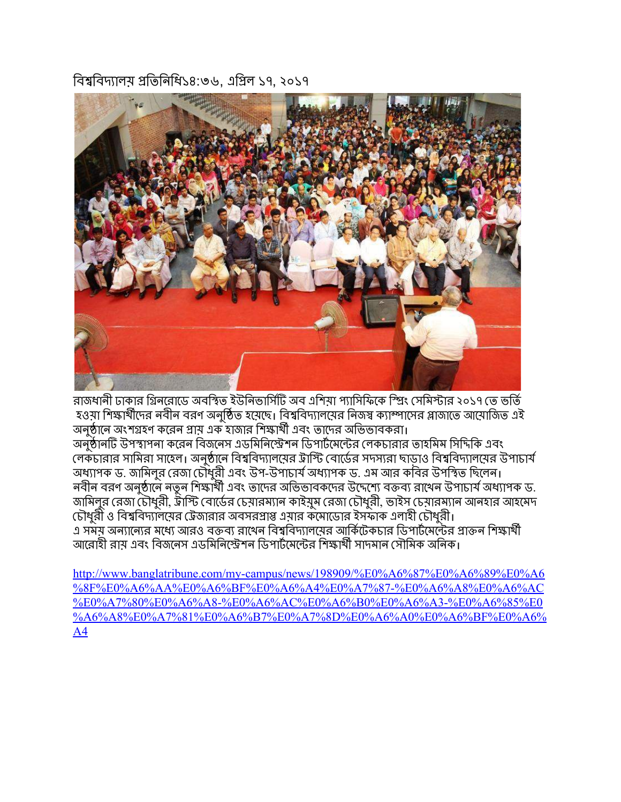বিশ্ববিদ্যালয় প্রতিনিধি১৪:৩৬, এপ্রিল ১৭, ২০১৭



রাজধানী ঢাকার গ্রিনরোডে অবস্থিত ইউনিভার্সিটি অব এশিয়া প্যাসিফিকে স্প্রিং সেমিস্টার ২০১৭ তে ভর্তি হওয়া শিক্ষার্থীদের নবীন বরণ অনুষ্ঠিত হয়েছে। বিশ্ববিদ্যালয়ের নিজস্ব ক্যাম্পাসের প্লাজাতে আয়ােজিত এই অনষ্ঠানে অংশগ্রহণ করেন প্রায় এক হাজার শিক্ষার্থী এবং তাদের অভিভাবকরা। অনুষ্ঠানটি উপস্থাপনা করেন বিজনেস এডমিনিস্ট্রেশন ডিপার্টমেন্টের লেকচারার তাহমিম সিদিকি এবং লেকচারার সামিরা সাহেল। অনুষ্ঠানে বিশ্ববিদ্যালয়ের ট্রাস্টি বোর্ডের সদস্যরা ছাড়াও বিশ্ববিদ্যালয়ের উপাচার্য অধ্যাপক ড. জামিলুর রেজা চৌধুরী এবং উপ-উপাচার্য অধ্যাপক ড. এম আর কবির উপস্থিত ছিলেন। নবীন বরণ অনুষ্ঠানে নতুন শিক্ষার্থী এবং তাদের অভিভাবকদের উদ্দেশ্যে বক্তব্য রাখেন উপাচার্য অধ্যাপক ড. জামিলুর রেজা চৌধুরী, ট্রাস্টি বোর্ডের চেয়ারম্যান কাইয়ুম রেজা চৌধুরী, ভাইস চেয়ারম্যান আনহার আহমেদ চৌধুরী ও বিশ্ববিদ্যালয়ের ট্রেজারার অবসরপ্রাপ্ত এয়ার কমােডাের ইসফাক এলাহী চৌধুরী। এ সময় অন্যান্যের মধ্যে আরও বক্তব্য রাখেন বিশ্ববিদ্যালয়ের আর্কিটেকচার ডিপার্টমেন্টের প্রাক্তন শিক্ষার্থী আরোহী রায় এবং বিজনেস এডমিনিস্ট্রেশন ডিপার্টমেন্টের শিক্ষার্থী সাদমান সৌমিক অনিক।

[http://www.banglatribune.com/my-campus/news/198909/%E0%A6%87%E0%A6%89%E0%A6](http://www.banglatribune.com/my-campus/news/198909/%E0%A6%87%E0%A6%89%E0%A6%8F%E0%A6%AA%E0%A6%BF%E0%A6%A4%E0%A7%87-%E0%A6%A8%E0%A6%AC%E0%A7%80%E0%A6%A8-%E0%A6%AC%E0%A6%B0%E0%A6%A3-%E0%A6%85%E0%A6%A8%E0%A7%81%E0%A6%B7%E0%A7%8D%E0%A6%A0%E0%A6%BF%E0%A6%A4) [%8F%E0%A6%AA%E0%A6%BF%E0%A6%A4%E0%A7%87-%E0%A6%A8%E0%A6%AC](http://www.banglatribune.com/my-campus/news/198909/%E0%A6%87%E0%A6%89%E0%A6%8F%E0%A6%AA%E0%A6%BF%E0%A6%A4%E0%A7%87-%E0%A6%A8%E0%A6%AC%E0%A7%80%E0%A6%A8-%E0%A6%AC%E0%A6%B0%E0%A6%A3-%E0%A6%85%E0%A6%A8%E0%A7%81%E0%A6%B7%E0%A7%8D%E0%A6%A0%E0%A6%BF%E0%A6%A4) [%E0%A7%80%E0%A6%A8-%E0%A6%AC%E0%A6%B0%E0%A6%A3-%E0%A6%85%E0](http://www.banglatribune.com/my-campus/news/198909/%E0%A6%87%E0%A6%89%E0%A6%8F%E0%A6%AA%E0%A6%BF%E0%A6%A4%E0%A7%87-%E0%A6%A8%E0%A6%AC%E0%A7%80%E0%A6%A8-%E0%A6%AC%E0%A6%B0%E0%A6%A3-%E0%A6%85%E0%A6%A8%E0%A7%81%E0%A6%B7%E0%A7%8D%E0%A6%A0%E0%A6%BF%E0%A6%A4) [%A6%A8%E0%A7%81%E0%A6%B7%E0%A7%8D%E0%A6%A0%E0%A6%BF%E0%A6%](http://www.banglatribune.com/my-campus/news/198909/%E0%A6%87%E0%A6%89%E0%A6%8F%E0%A6%AA%E0%A6%BF%E0%A6%A4%E0%A7%87-%E0%A6%A8%E0%A6%AC%E0%A7%80%E0%A6%A8-%E0%A6%AC%E0%A6%B0%E0%A6%A3-%E0%A6%85%E0%A6%A8%E0%A7%81%E0%A6%B7%E0%A7%8D%E0%A6%A0%E0%A6%BF%E0%A6%A4) [A4](http://www.banglatribune.com/my-campus/news/198909/%E0%A6%87%E0%A6%89%E0%A6%8F%E0%A6%AA%E0%A6%BF%E0%A6%A4%E0%A7%87-%E0%A6%A8%E0%A6%AC%E0%A7%80%E0%A6%A8-%E0%A6%AC%E0%A6%B0%E0%A6%A3-%E0%A6%85%E0%A6%A8%E0%A7%81%E0%A6%B7%E0%A7%8D%E0%A6%A0%E0%A6%BF%E0%A6%A4)